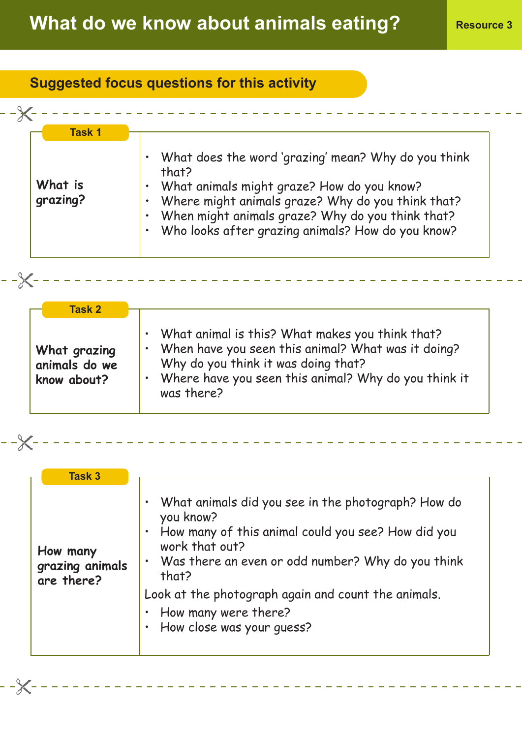## **Suggested focus questions for this activity**

| What is<br>grazing? | What does the word 'grazing' mean? Why do you think<br>that?<br>What animals might graze? How do you know?<br>Where might animals graze? Why do you think that?<br>$\bullet$<br>When might animals graze? Why do you think that?<br>$\bullet$<br>Who looks after grazing animals? How do you know? |
|---------------------|----------------------------------------------------------------------------------------------------------------------------------------------------------------------------------------------------------------------------------------------------------------------------------------------------|
|---------------------|----------------------------------------------------------------------------------------------------------------------------------------------------------------------------------------------------------------------------------------------------------------------------------------------------|

| <b>Task 2</b>                                |                                                                                                                                                                                                                                                |
|----------------------------------------------|------------------------------------------------------------------------------------------------------------------------------------------------------------------------------------------------------------------------------------------------|
| What grazing<br>animals do we<br>know about? | . What animal is this? What makes you think that?<br>When have you seen this animal? What was it doing?<br>$\bullet$<br>Why do you think it was doing that?<br>Where have you seen this animal? Why do you think it<br>$\bullet$<br>was there? |

| ___ |  |  |  |  |  |  | ----------------------------- |  |  |  |  |  |  |  |  |  |
|-----|--|--|--|--|--|--|-------------------------------|--|--|--|--|--|--|--|--|--|

------------

| <b>Task 3</b>                             |                                                                                                                                                                                                                                                                                                                                |
|-------------------------------------------|--------------------------------------------------------------------------------------------------------------------------------------------------------------------------------------------------------------------------------------------------------------------------------------------------------------------------------|
| How many<br>grazing animals<br>are there? | What animals did you see in the photograph? How do<br>٠<br>you know?<br>• How many of this animal could you see? How did you<br>work that out?<br>• Was there an even or odd number? Why do you think<br>that?<br>Look at the photograph again and count the animals.<br>• How many were there?<br>· How close was your quess? |